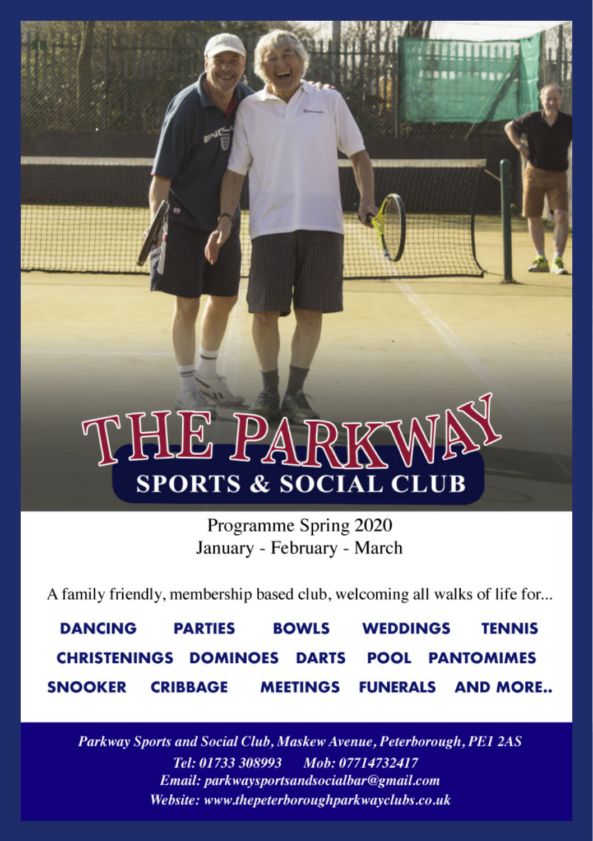# THE PARKW **SPORTS & SOCIAL CLUB**

Programme Spring 2020 January - February - March

A family friendly, membership based club, welcoming all walks of life for...

**DANCING PARTIFS BOWLS WEDDINGS TENNIS CHRISTENINGS DOMINOES DARTS POOL PANTOMIMES MEETINGS FUNERALS AND MORE.. SNOOKER CRIBBAGE** 

Parkway Sports and Social Club, Maskew Avenue, Peterborough, PE1 2AS Tel: 01733 308993 Mob: 07714732417 Email: parkwaysportsandsocialbar@gmail.com Website: www.thepeterboroughparkwayclubs.co.uk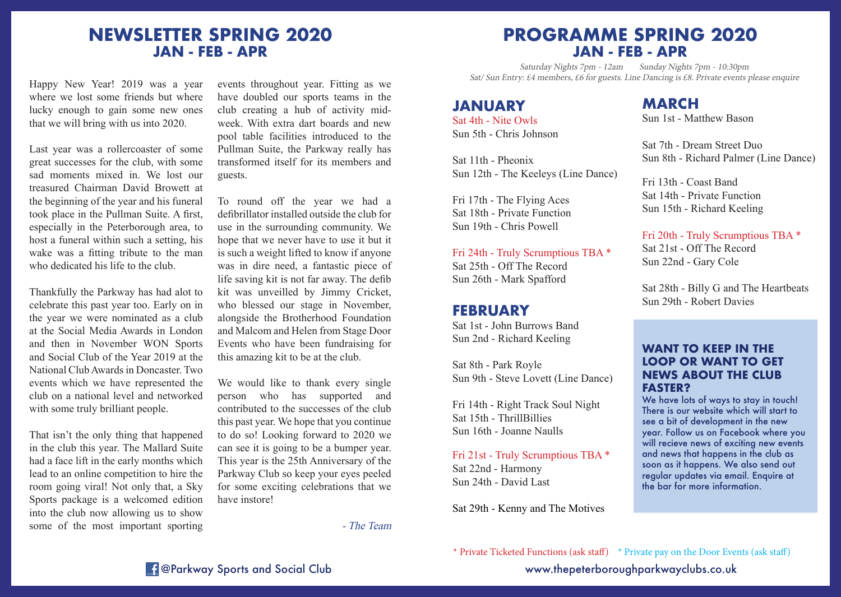## **NEWSLETTER SPRING 2020 JAN - FEB - APR**

Happy New Year! 2019 was a year where we lost some friends but where lucky enough to gain some new ones that we will bring with us into 2020.

Last year was a rollercoaster of some great successes for the club, with some sad moments mixed in. We lost our treasured Chairman David Browett at the beginning of the year and his funeral took place in the Pullman Suite. A first, especially in the Peterborough area, to host a funeral within such a setting, his wake was a fitting tribute to the man who dedicated his life to the club.

Thankfully the Parkway has had alot to celebrate this past year too. Early on in the year we were nominated as a club at the Social Media Awards in London and then in November WON Sports and Social Club of the Year 2019 at the National Club Awards in Doncaster. Two events which we have represented the club on a national level and networked with some truly brilliant people.

That isn't the only thing that happened in the club this year. The Mallard Suite had a face lift in the early months which lead to an online competition to hire the room going viral! Not only that, a Sky Sports package is a welcomed edition into the club now allowing us to show some of the most important sporting events throughout year. Fitting as we have doubled our sports teams in the club creating a hub of activity midweek. With extra dart boards and new pool table facilities introduced to the Pullman Suite, the Parkway really has transformed itself for its members and guests.

To round off the year we had a defibrillator installed outside the club for use in the surrounding community. We hope that we never have to use it but it is such a weight lifted to know if anyone was in dire need, a fantastic piece of life saving kit is not far away. The defib kit was unveilled by Jimmy Cricket, who blessed our stage in November, alongside the Brotherhood Foundation and Malcom and Helen from Stage Door Events who have been fundraising for this amazing kit to be at the club.

We would like to thank every single person who has supported and contributed to the successes of the club this past year. We hope that you continue to do so! Looking forward to 2020 we can see it is going to be a bumper year. This year is the 25th Anniversary of the Parkway Club so keep your eyes peeled for some exciting celebrations that we have instore!

- The Team

## **PROGRAMME SPRING 2020 JAN - FEB - APR**

Saturday Nights 7pm - 12am Sunday Nights 7pm - 10:30pm Sat/ Sun Entry: £4 members, £6 for guests. Line Dancing is £8. Private events please enquire

#### **JANUARY**

Sat 4th - Nite Owls Sun 5th - Chris Johnson

Sat 11th - Pheonix Sun 12th - The Keeleys (Line Dance)

Fri 17th - The Flying Aces Sat 18th - Private Function Sun 19th - Chris Powell

Fri 24th - Truly Scrumptious TBA \* Sat 25th - Off The Record Sun 26th - Mark Spafford

### **FEBRUARY**

Sat 1st - John Burrows Band Sun 2nd - Richard Keeling

Sat 8th - Park Royle Sun 9th - Steve Lovett (Line Dance)

Fri 14th - Right Track Soul Night Sat 15th - ThrillBillies Sun 16th - Joanne Naulls

Fri 21st - Truly Scrumptious TBA \* Sat 22nd - Harmony Sun 24th - David Last

Sat 29th - Kenny and The Motives

## **MARCH**

Sun 1st - Matthew Bason

Sat 7th - Dream Street Duo Sun 8th - Richard Palmer (Line Dance)

Fri 13th - Coast Band Sat 14th - Private Function Sun 15th - Richard Keeling

Fri 20th - Truly Scrumptious TBA \* Sat 21st - Off The Record Sun 22nd - Gary Cole

Sat 28th - Billy G and The Heartbeats Sun 29th - Robert Davies

#### **WANT TO KEEP IN THE LOOP OR WANT TO GET NEWS ABOUT THE CLUB FASTER?**

We have lots of ways to stay in touch! There is our website which will start to see a bit of development in the new year. Follow us on Facebook where you will recieve news of exciting new events and news that happens in the club as soon as it happens. We also send out regular updates via email. Enquire at the bar for more information.

\* Private Ticketed Functions (ask staff) \* Private pay on the Door Events (ask staff)

**Example 20 Aproximate Sports and Social Club www.thepeterboroughparkwayclubs.co.uk**